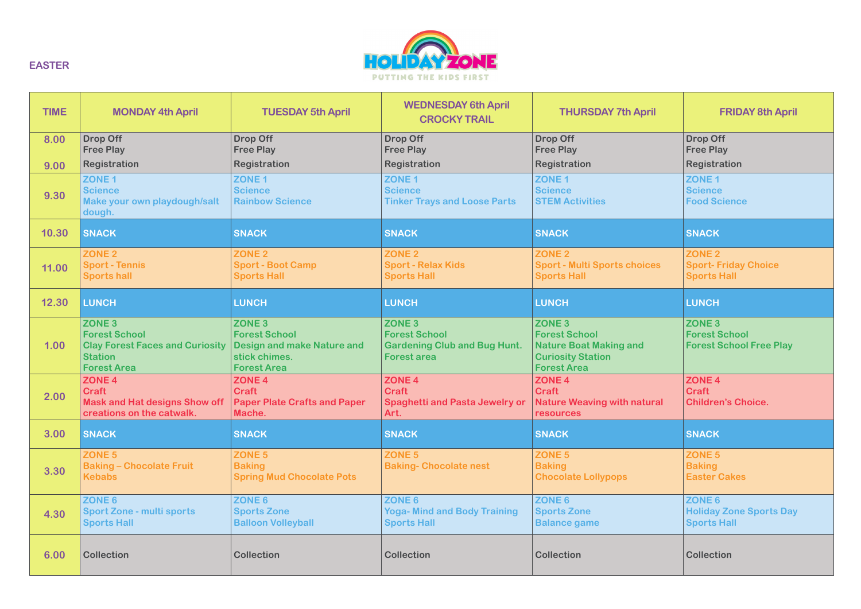

| <b>TIME</b> | <b>MONDAY 4th April</b>                                                                                                 | <b>TUESDAY 5th April</b>                                                                                              | <b>WEDNESDAY 6th April</b><br><b>CROCKY TRAIL</b>                                                      | <b>THURSDAY 7th April</b>                                                                                                | <b>FRIDAY 8th April</b>                                                 |
|-------------|-------------------------------------------------------------------------------------------------------------------------|-----------------------------------------------------------------------------------------------------------------------|--------------------------------------------------------------------------------------------------------|--------------------------------------------------------------------------------------------------------------------------|-------------------------------------------------------------------------|
| 8.00        | <b>Drop Off</b><br><b>Free Play</b>                                                                                     | <b>Drop Off</b><br><b>Free Play</b>                                                                                   | <b>Drop Off</b><br><b>Free Play</b>                                                                    | <b>Drop Off</b><br><b>Free Play</b>                                                                                      | Drop Off<br><b>Free Play</b>                                            |
| 9.00        | Registration                                                                                                            | Registration                                                                                                          | Registration                                                                                           | Registration                                                                                                             | Registration                                                            |
| 9.30        | ZONE <sub>1</sub><br><b>Science</b><br>Make your own playdough/salt<br>dough.                                           | ZONE <sub>1</sub><br><b>Science</b><br><b>Rainbow Science</b>                                                         | ZONE <sub>1</sub><br><b>Science</b><br><b>Tinker Trays and Loose Parts</b>                             | ZONE <sub>1</sub><br><b>Science</b><br><b>STEM Activities</b>                                                            | ZONE <sub>1</sub><br><b>Science</b><br><b>Food Science</b>              |
| 10.30       | <b>SNACK</b>                                                                                                            | <b>SNACK</b>                                                                                                          | <b>SNACK</b>                                                                                           | <b>SNACK</b>                                                                                                             | <b>SNACK</b>                                                            |
| 11.00       | <b>ZONE 2</b><br><b>Sport - Tennis</b><br><b>Sports hall</b>                                                            | <b>ZONE 2</b><br><b>Sport - Boot Camp</b><br><b>Sports Hall</b>                                                       | <b>ZONE 2</b><br><b>Sport - Relax Kids</b><br><b>Sports Hall</b>                                       | <b>ZONE 2</b><br><b>Sport - Multi Sports choices</b><br><b>Sports Hall</b>                                               | ZONE <sub>2</sub><br><b>Sport-Friday Choice</b><br><b>Sports Hall</b>   |
| 12.30       | <b>LUNCH</b>                                                                                                            | <b>LUNCH</b>                                                                                                          | <b>LUNCH</b>                                                                                           | <b>LUNCH</b>                                                                                                             | <b>LUNCH</b>                                                            |
| 1.00        | <b>ZONE 3</b><br><b>Forest School</b><br><b>Clay Forest Faces and Curiosity</b><br><b>Station</b><br><b>Forest Area</b> | ZONE <sub>3</sub><br><b>Forest School</b><br><b>Design and make Nature and</b><br>stick chimes.<br><b>Forest Area</b> | ZONE <sub>3</sub><br><b>Forest School</b><br><b>Gardening Club and Bug Hunt.</b><br><b>Forest area</b> | <b>ZONE 3</b><br><b>Forest School</b><br><b>Nature Boat Making and</b><br><b>Curiosity Station</b><br><b>Forest Area</b> | <b>ZONE 3</b><br><b>Forest School</b><br><b>Forest School Free Play</b> |
| 2.00        | ZONE <sub>4</sub><br><b>Craft</b><br><b>Mask and Hat designs Show off</b><br>creations on the catwalk.                  | ZONE <sub>4</sub><br><b>Craft</b><br><b>Paper Plate Crafts and Paper</b><br>Mache.                                    | ZONE <sub>4</sub><br><b>Craft</b><br><b>Spaghetti and Pasta Jewelry or</b><br>Art.                     | ZONE <sub>4</sub><br><b>Craft</b><br><b>Nature Weaving with natural</b><br>resources                                     | ZONE <sub>4</sub><br><b>Craft</b><br><b>Children's Choice.</b>          |
| 3.00        | <b>SNACK</b>                                                                                                            | <b>SNACK</b>                                                                                                          | <b>SNACK</b>                                                                                           | <b>SNACK</b>                                                                                                             | <b>SNACK</b>                                                            |
| 3.30        | ZONE 5<br><b>Baking - Chocolate Fruit</b><br><b>Kebabs</b>                                                              | ZONE <sub>5</sub><br><b>Baking</b><br><b>Spring Mud Chocolate Pots</b>                                                | ZONE <sub>5</sub><br><b>Baking- Chocolate nest</b>                                                     | ZONE 5<br><b>Baking</b><br><b>Chocolate Lollypops</b>                                                                    | ZONE 5<br><b>Baking</b><br><b>Easter Cakes</b>                          |
| 4.30        | ZONE 6<br><b>Sport Zone - multi sports</b><br><b>Sports Hall</b>                                                        | ZONE 6<br><b>Sports Zone</b><br><b>Balloon Volleyball</b>                                                             | ZONE 6<br><b>Yoga- Mind and Body Training</b><br><b>Sports Hall</b>                                    | ZONE 6<br><b>Sports Zone</b><br><b>Balance game</b>                                                                      | ZONE 6<br><b>Holiday Zone Sports Day</b><br><b>Sports Hall</b>          |
| 6.00        | <b>Collection</b>                                                                                                       | <b>Collection</b>                                                                                                     | <b>Collection</b>                                                                                      | <b>Collection</b>                                                                                                        | <b>Collection</b>                                                       |

**EASTER**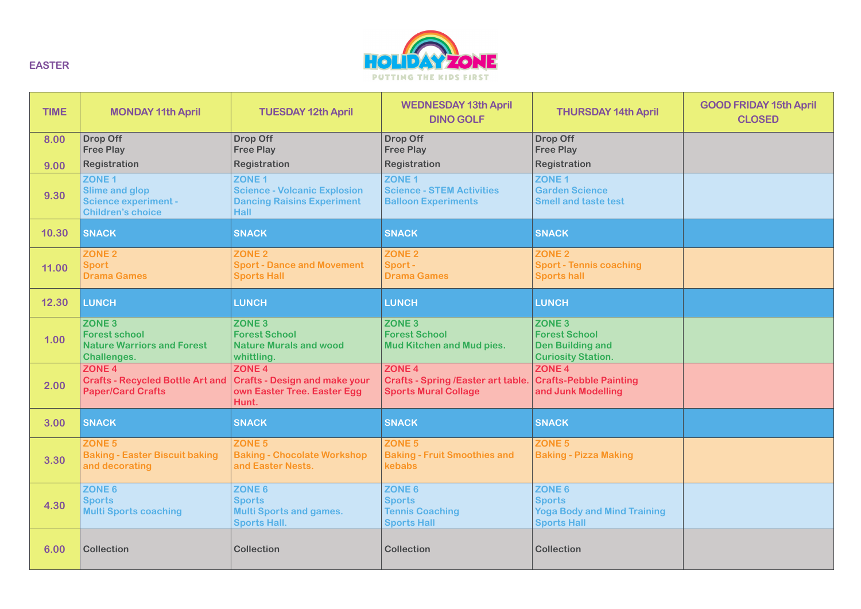

| <b>TIME</b> | <b>MONDAY 11th April</b>                                                                              | <b>TUESDAY 12th April</b>                                                                                    | <b>WEDNESDAY 13th April</b><br><b>DINO GOLF</b>                                               | <b>THURSDAY 14th April</b>                                                                        | <b>GOOD FRIDAY 15th April</b><br><b>CLOSED</b> |
|-------------|-------------------------------------------------------------------------------------------------------|--------------------------------------------------------------------------------------------------------------|-----------------------------------------------------------------------------------------------|---------------------------------------------------------------------------------------------------|------------------------------------------------|
| 8.00        | <b>Drop Off</b><br><b>Free Play</b>                                                                   | <b>Drop Off</b><br><b>Free Play</b>                                                                          | <b>Drop Off</b><br><b>Free Play</b>                                                           | <b>Drop Off</b><br><b>Free Play</b>                                                               |                                                |
| 9.00        | Registration                                                                                          | Registration                                                                                                 | Registration                                                                                  | Registration                                                                                      |                                                |
| 9.30        | ZONE <sub>1</sub><br><b>Slime and glop</b><br><b>Science experiment -</b><br><b>Children's choice</b> | ZONE <sub>1</sub><br><b>Science - Volcanic Explosion</b><br><b>Dancing Raisins Experiment</b><br><b>Hall</b> | ZONE <sub>1</sub><br><b>Science - STEM Activities</b><br><b>Balloon Experiments</b>           | ZONE <sub>1</sub><br><b>Garden Science</b><br><b>Smell and taste test</b>                         |                                                |
| 10.30       | <b>SNACK</b>                                                                                          | <b>SNACK</b>                                                                                                 | <b>SNACK</b>                                                                                  | <b>SNACK</b>                                                                                      |                                                |
| 11.00       | ZONE <sub>2</sub><br><b>Sport</b>                                                                     | ZONE <sub>2</sub><br><b>Sport - Dance and Movement</b>                                                       | ZONE <sub>2</sub><br>Sport-                                                                   | ZONE <sub>2</sub><br><b>Sport - Tennis coaching</b>                                               |                                                |
|             | <b>Drama Games</b>                                                                                    | <b>Sports Hall</b>                                                                                           | <b>Drama Games</b>                                                                            | <b>Sports hall</b>                                                                                |                                                |
| 12.30       | <b>LUNCH</b>                                                                                          | <b>LUNCH</b>                                                                                                 | <b>LUNCH</b>                                                                                  | <b>LUNCH</b>                                                                                      |                                                |
| 1.00        | <b>ZONE 3</b><br><b>Forest school</b><br><b>Nature Warriors and Forest</b><br><b>Challenges.</b>      | ZONE <sub>3</sub><br><b>Forest School</b><br><b>Nature Murals and wood</b><br>whittling.                     | ZONE <sub>3</sub><br><b>Forest School</b><br><b>Mud Kitchen and Mud pies.</b>                 | ZONE <sub>3</sub><br><b>Forest School</b><br><b>Den Building and</b><br><b>Curiosity Station.</b> |                                                |
| 2.00        | ZONE <sub>4</sub><br><b>Crafts - Recycled Bottle Art and</b><br><b>Paper/Card Crafts</b>              | ZONE <sub>4</sub><br><b>Crafts - Design and make your</b><br>own Easter Tree. Easter Egg<br>Hunt.            | ZONE <sub>4</sub><br><b>Crafts - Spring /Easter art table.</b><br><b>Sports Mural Collage</b> | ZONE <sub>4</sub><br><b>Crafts-Pebble Painting</b><br>and Junk Modelling                          |                                                |
| 3.00        | <b>SNACK</b>                                                                                          | <b>SNACK</b>                                                                                                 | <b>SNACK</b>                                                                                  | <b>SNACK</b>                                                                                      |                                                |
| 3.30        | ZONE <sub>5</sub><br><b>Baking - Easter Biscuit baking</b><br>and decorating                          | ZONE <sub>5</sub><br><b>Baking - Chocolate Workshop</b><br>and Easter Nests.                                 | ZONE <sub>5</sub><br><b>Baking - Fruit Smoothies and</b><br>kebabs                            | ZONE <sub>5</sub><br><b>Baking - Pizza Making</b>                                                 |                                                |
| 4.30        | ZONE 6<br><b>Sports</b><br><b>Multi Sports coaching</b>                                               | ZONE 6<br><b>Sports</b><br><b>Multi Sports and games.</b><br><b>Sports Hall.</b>                             | ZONE 6<br><b>Sports</b><br><b>Tennis Coaching</b><br><b>Sports Hall</b>                       | ZONE 6<br><b>Sports</b><br><b>Yoga Body and Mind Training</b><br><b>Sports Hall</b>               |                                                |
| 6.00        | <b>Collection</b>                                                                                     | <b>Collection</b>                                                                                            | <b>Collection</b>                                                                             | <b>Collection</b>                                                                                 |                                                |

**EASTER**